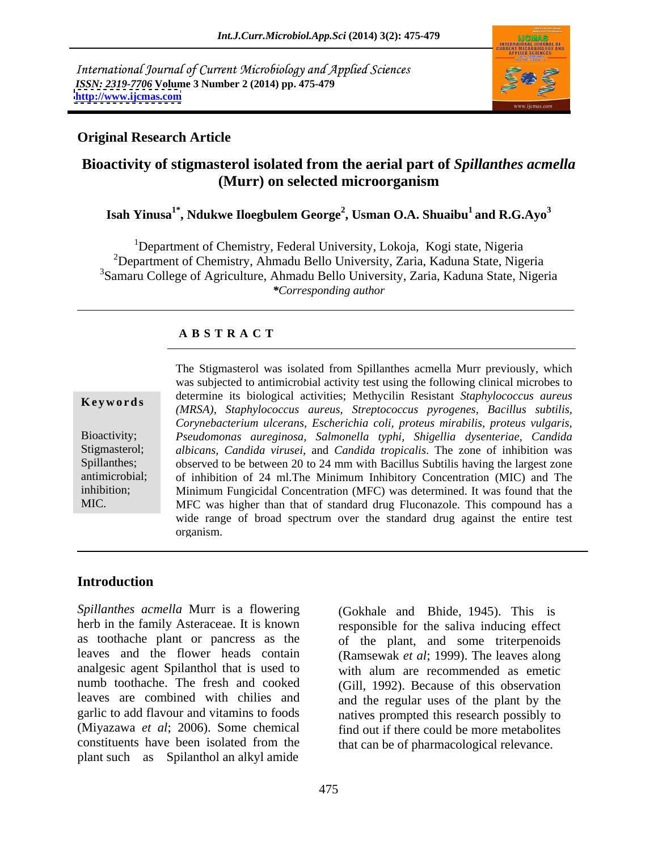International Journal of Current Microbiology and Applied Sciences *ISSN: 2319-7706* **Volume 3 Number 2 (2014) pp. 475-479 <http://www.ijcmas.com>**



## **Original Research Article**

# **Bioactivity of stigmasterol isolated from the aerial part of** *Spillanthes acmella* **(Murr) on selected microorganism**

## **Isah Yinusa1\* , Ndukwe Iloegbulem George<sup>2</sup> , Usman O.A. Shuaibu1 and R.G.Ayo3**

<sup>1</sup>Department of Chemistry, Federal University, Lokoja, Kogi state, Nigeria <sup>2</sup>Department of Chemistry, Ahmadu Bello University, Zaria, Kaduna State, Nigeria <sup>3</sup>Samaru College of Agriculture, Ahmadu Bello University, Zaria, Kaduna State, Nigeria *\*Corresponding author*

### **A B S T R A C T**

**Ke ywo rds** *(MRSA), Staphylococcus aureus, Streptococcus pyrogenes, Bacillus subtilis,* Bioactivity; *Pseudomonas aureginosa, Salmonella typhi, Shigellia dysenteriae, Candida* Stigmasterol; *albicans, Candida virusei,* and *Candida tropicalis*. The zone of inhibition was Spillanthes; observed to be between 20 to 24 mm with Bacillus Subtilis having the largest zone antimicrobial; of inhibition of 24 ml.The Minimum Inhibitory Concentration (MIC) and The inhibition; Minimum Fungicidal Concentration (MFC) was determined. It was found that the MIC. MFC was higher than that of standard drug Fluconazole. This compound has a The Stigmasterol was isolated from Spillanthes acmella Murr previously, which was subjected to antimicrobial activity test using the following clinical microbes to determine its biological activities; Methycilin Resistant *Staphylococcus aureus Corynebacterium ulcerans, Escherichia coli, proteus mirabilis, proteus vulgaris,* wide range of broad spectrum over the standard drug against the entire test organism.

### **Introduction**

*Spillanthes acmella* Murr is a flowering herb in the family Asteraceae. It is known as toothache plant or pancress as the of the plant, and some triterpenoids leaves and the flower heads contain (Ramsewak *et al*; 1999). The leaves along analgesic agent Spilanthol that is used to with alum are recommended as emetic numb toothache. The fresh and cooked (Gill, 1992). Because of this observation leaves are combined with chilies and and the regular uses of the plant by the garlic to add flavour and vitamins to foods natives prompted this research possibly to (Miyazawa *et al*; 2006). Some chemical find out if there could be more metabolites constituents have been isolated from the that can be of pharmacological relevance. plant such as Spilanthol an alkyl amide

(Gokhale and Bhide, 1945). This is responsible for the saliva inducing effect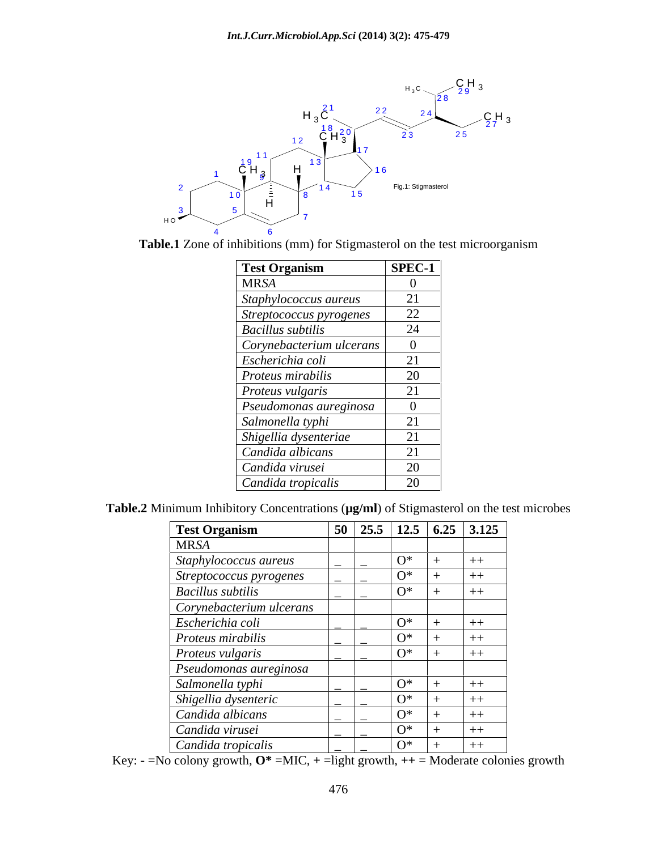

**Table.1** Zone of inhibitions (mm) for Stigmasterol on the test microorganism

| <b>Test Organism</b>     | SPEC-1                  |
|--------------------------|-------------------------|
| <b>MRSA</b>              |                         |
| Staphylococcus aureus    | 21                      |
| Streptococcus pyrogenes  | 22                      |
| <b>Bacillus</b> subtilis | 24                      |
| Corynebacterium ulcerans |                         |
| Escherichia coli         | 21                      |
| Proteus mirabilis        | 20                      |
| Proteus vulgaris         | 21                      |
| Pseudomonas aureginosa   |                         |
| Salmonella typhi         | $\bigcap$ 1<br>$\angle$ |
| Shigellia dysenteriae    | 21                      |
| Candida albicans         | 21                      |
| Candida virusei          | 20                      |
| Candida tropicalis       | 20                      |

**Table.2** Minimum Inhibitory Concentrations (**µg/ml**) of Stigmasterol on the test microbes

| <b>Test Organism</b>     |       | $\boxed{50}$ 25.5 12.5 6.25 3.125 |
|--------------------------|-------|-----------------------------------|
| <b>MRSA</b>              |       |                                   |
| Staphylococcus aureus    | $O^*$ | $++$                              |
| Streptococcus pyrogenes  | $O^*$ | $++$                              |
| <b>Bacillus</b> subtilis | $O^*$ | $++$                              |
| Corynebacterium ulcerans |       |                                   |
| Escherichia coli         | $O^*$ | $++$                              |
| Proteus mirabilis        | $O^*$ | $++$                              |
| Proteus vulgaris         | $O^*$ | $++$                              |
| Pseudomonas aureginosa   |       |                                   |
| Salmonella typhi         | $O^*$ | $++$                              |
| Shigellia dysenteric     | $O^*$ | $++$                              |
| Candida albicans         | $0^*$ | $++$                              |
| Candida virusei          | $O^*$ | $++$                              |
| Candida tropicalis       | $O^*$ | $++$                              |

Key:  $\text{-}$  =No colony growth,  $\textbf{O}^*$  =MIC,  $\text{+}$  =light growth,  $\text{++}$  = Moderate colonies growth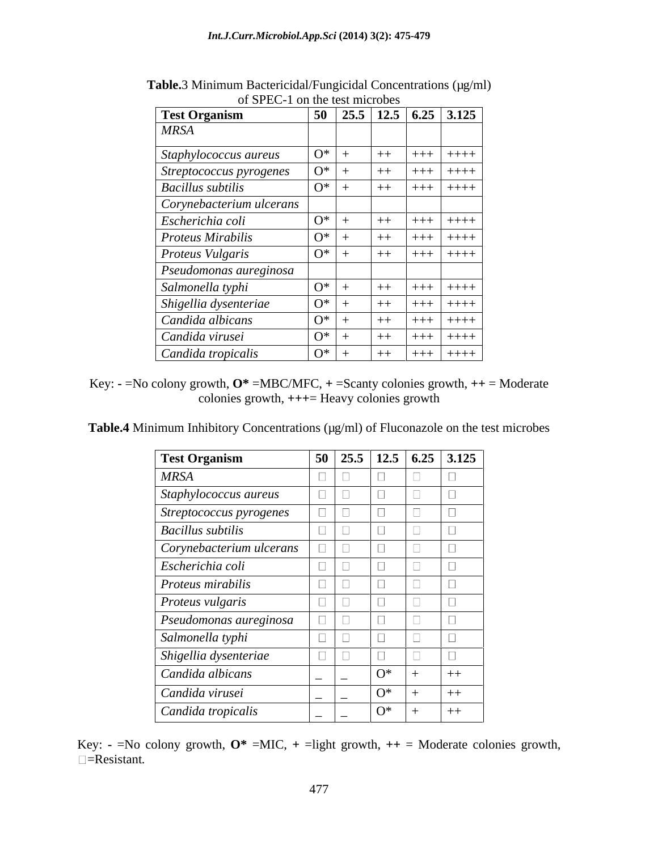| of St Le T on the test intervets            |           |      |         |                                                                           |
|---------------------------------------------|-----------|------|---------|---------------------------------------------------------------------------|
| <b>Test Organism</b>                        |           |      |         | $\boxed{50}$ $\boxed{25.5}$ $\boxed{12.5}$ $\boxed{6.25}$ $\boxed{3.125}$ |
| <b>MRSA</b>                                 |           |      |         |                                                                           |
| $O^*$<br>Staphylococcus aureus              |           | $++$ | $+++$   | $++++$                                                                    |
| $\overline{O^*}$<br>Streptococcus pyrogenes |           | $++$ | $+ + +$ | $++++$                                                                    |
| $ 0^* $ +<br><b>Bacillus subtilis</b>       |           | $++$ | $+ + +$ | $++++$                                                                    |
| Corynebacterium ulcerans                    |           |      |         |                                                                           |
| $O^*$<br>Escherichia coli                   |           | $++$ | $+ + +$ | $+++++$                                                                   |
| $ O^* $<br><b>Proteus Mirabilis</b>         |           | $++$ | $+++$   | $++++$                                                                    |
| <b>Proteus Vulgaris</b>                     | $O^*$ +   | $++$ | ++++    | $+ + + +$                                                                 |
| Pseudomonas aureginosa                      |           |      |         |                                                                           |
| $O^*$<br>Salmonella typhi                   |           | $++$ | $+ + +$ | $+ + + +$                                                                 |
| $0^*$<br>Shigellia dysenteriae              |           | $++$ | $+ + +$ | $++++$                                                                    |
| $\overline{O^*}$<br>Candida albicans        |           | $++$ | $+++$   | $++++$                                                                    |
| $\overline{O^*}$ +<br>Candida virusei       |           | $++$ | $+ + +$ | $+ + + +$                                                                 |
| Candida tropicalis                          | $ O^* $ + | $++$ | $ +++ $ | $+ + + +$                                                                 |

Table.3 Minimum Bactericidal/Fungicidal Concentrations (µg/ml) of SPEC-1 on the test microbes

Key: **-** =No colony growth, **O\*** =MBC/MFC, **+** =Scanty colonies growth, **++** = Moderate colonies growth, **+++**= Heavy colonies growth

Table.4 Minimum Inhibitory Concentrations (µg/ml) of Fluconazole on the test microbes

| <b>Test Organism</b>     | $\boxed{50}$ $\boxed{25.5}$ $\boxed{12.5}$ $\boxed{6.25}$ $\boxed{3.125}$ |       |      |
|--------------------------|---------------------------------------------------------------------------|-------|------|
| <b>MRSA</b>              |                                                                           |       |      |
| Staphylococcus aureus    |                                                                           |       |      |
| Streptococcus pyrogenes  |                                                                           |       |      |
| <b>Bacillus</b> subtilis |                                                                           |       |      |
| Corynebacterium ulcerans |                                                                           |       |      |
| Escherichia coli         |                                                                           |       |      |
| Proteus mirabilis        |                                                                           |       |      |
| Proteus vulgaris         |                                                                           |       |      |
| Pseudomonas aureginosa   |                                                                           |       |      |
| Salmonella typhi         |                                                                           |       |      |
| Shigellia dysenteriae    |                                                                           |       |      |
| Candida albicans         | $\overline{\phantom{0}}$                                                  | $O^*$ | $++$ |
| Candida virusei          | $\sim$<br>$\sim$                                                          | $O^*$ |      |
| Candida tropicalis       | $\sim$<br>$\sim$                                                          | $O^*$ | $++$ |

Key:  $\text{-}$  =No colony growth,  $\textbf{O}^*$  =MIC,  $\text{+}$  =light growth,  $\text{++}$  = Moderate colonies growth, =Resistant*.*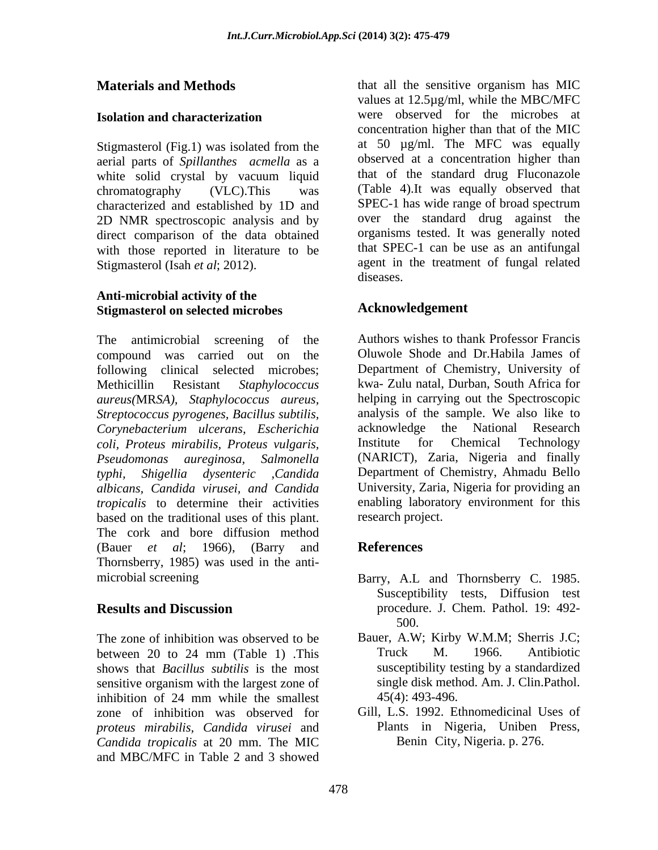Stigmasterol (Fig.1) was isolated from the aerial parts of *Spillanthes acmella* as a white solid crystal by vacuum liquid characterized and established by 1D and SPEC-1 has wide range of broad spectrum 2D NMR spectroscopic analysis and by direct comparison of the data obtained with those reported in literature to be

### **Anti-microbial activity of the Stigmasterol on selected microbes**

The antimicrobial screening of the Authors wishes to thank Professor Francis compound was carried out on the following clinical selected microbes; Methicillin Resistant *Staphylococcus*  kwa- Zulu natal, Durban, South Africa for *aureus(*MR*SA), Staphylococcus aureus, Streptococcus pyrogenes, Bacillus subtilis, Corynebacterium ulcerans, Escherichia coli, Proteus mirabilis, Proteus vulgaris, Pseudomonas aureginosa, Salmonella* (NARICT), Zaria, Nigeria and finally *typhi, Shigellia dysenteric ,Candida* Department of Chemistry, Ahmadu Bello *albicans, Candida virusei, and Candida tropicalis* to determine their activities based on the traditional uses of this plant. The cork and bore diffusion method (Bauer *et al*; 1966), (Barry and Thornsberry, 1985) was used in the anti-

The zone of inhibition was observed to be Bauer, A.W; Kirby W.M.M; Sherris J.C; between 20 to 24 mm (Table 1) .This shows that *Bacillus subtilis* is the most sensitive organism with the largest zone of inhibition of 24 mm while the smallest  $45(4)$ : 493-496. zone of inhibition was observed for *proteus mirabilis, Candida virusei* and *Candida tropicalis* at 20 mm. The MIC and MBC/MFC in Table 2 and 3 showed

**Materials and Methods that all the sensitive organism has MIC Isolation and characterization Example 3** were observed for the microbes at chromatography (VLC).This was (Table 4).It was equally observed that Stigmasterol (Isah *et al*; 2012). agent in the treatment of fungal related values at 12.5µg/ml, while the MBC/MFC were observed for the microbes at concentration higher than that of the MIC at 50 µg/ml. The MFC was equally observed at a concentration higher than that of the standard drug Fluconazole SPEC-1 has wide range of broad spectrum over the standard drug against the organisms tested. It was generally noted that SPEC-1 can be use as an antifungal diseases.

# **Acknowledgement**

Oluwole Shode and Dr.Habila James of Department of Chemistry, University of helping in carrying out the Spectroscopic analysis of the sample. We also like to acknowledge the National Research Institute for Chemical Technology University, Zaria, Nigeria for providing an enabling laboratory environment for this research project.

# **References**

- microbial screening Barry, A.L and Thornsberry C. 1985. **Results and Discussion** procedure. J. Chem. Pathol. 19: 492- Susceptibility tests, Diffusion test 500.
	- Truck M. 1966. Antibiotic susceptibility testing by a standardized single disk method. Am. J. Clin.Pathol. 45(4): 493-496.
	- Gill, L.S. 1992. Ethnomedicinal Uses of Plants in Nigeria, Uniben Press, Benin City, Nigeria. p. 276.